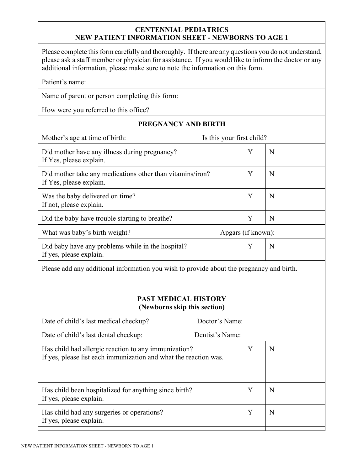## **CENTENNIAL PEDIATRICS NEW PATIENT INFORMATION SHEET - NEWBORNS TO AGE 1**

Please complete this form carefully and thoroughly. If there are any questions you do not understand, please ask a staff member or physician for assistance. If you would like to inform the doctor or any additional information, please make sure to note the information on this form.

| Patient's name: |  |
|-----------------|--|
|-----------------|--|

Name of parent or person completing this form:

How were you referred to this office?

## **PREGNANCY AND BIRTH**

| Is this your first child?<br>Mother's age at time of birth:                                                              |                    |   |  |  |  |
|--------------------------------------------------------------------------------------------------------------------------|--------------------|---|--|--|--|
| Did mother have any illness during pregnancy?<br>If Yes, please explain.                                                 | Y                  | N |  |  |  |
| Did mother take any medications other than vitamins/iron?<br>If Yes, please explain.                                     | Y                  | N |  |  |  |
| Was the baby delivered on time?<br>If not, please explain.                                                               | Y                  | N |  |  |  |
| Did the baby have trouble starting to breathe?                                                                           | Y                  | N |  |  |  |
| What was baby's birth weight?                                                                                            | Apgars (if known): |   |  |  |  |
| Did baby have any problems while in the hospital?<br>If yes, please explain.                                             | Y                  | N |  |  |  |
| Please add any additional information you wish to provide about the pregnancy and birth.                                 |                    |   |  |  |  |
| <b>PAST MEDICAL HISTORY</b><br>(Newborns skip this section)                                                              |                    |   |  |  |  |
| Date of child's last medical checkup?                                                                                    | Doctor's Name:     |   |  |  |  |
| Date of child's last dental checkup:                                                                                     | Dentist's Name:    |   |  |  |  |
| Has child had allergic reaction to any immunization?<br>If yes, please list each immunization and what the reaction was. | Y                  | N |  |  |  |
| Has child been hospitalized for anything since birth?<br>If yes, please explain.                                         | Y                  | N |  |  |  |
| Has child had any surgeries or operations?<br>If yes, please explain.                                                    | Y                  | N |  |  |  |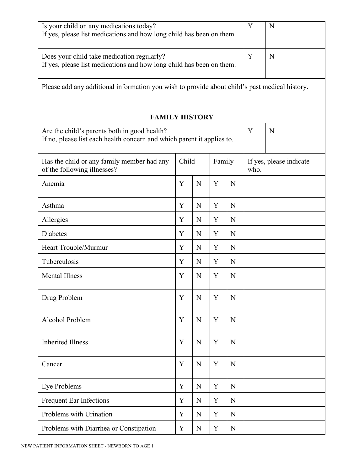| Is your child on any medications today?<br>If yes, please list medications and how long child has been on them.        |       |        |   |                                 |   | N |
|------------------------------------------------------------------------------------------------------------------------|-------|--------|---|---------------------------------|---|---|
| Does your child take medication regularly?<br>If yes, please list medications and how long child has been on them.     |       |        |   |                                 |   | N |
| Please add any additional information you wish to provide about child's past medical history.                          |       |        |   |                                 |   |   |
| <b>FAMILY HISTORY</b>                                                                                                  |       |        |   |                                 |   |   |
| Are the child's parents both in good health?<br>If no, please list each health concern and which parent it applies to. |       |        |   |                                 | Y | N |
| Has the child or any family member had any<br>of the following illnesses?                                              | Child | Family |   | If yes, please indicate<br>who. |   |   |
| Anemia                                                                                                                 | Y     | N      | Y | N                               |   |   |
| Asthma                                                                                                                 | Y     | N      | Y | N                               |   |   |
| Allergies                                                                                                              | Y     | N      | Y | N                               |   |   |
| Diabetes                                                                                                               | Y     | N      | Y | N                               |   |   |
| Heart Trouble/Murmur                                                                                                   | Y     | N      | Y | N                               |   |   |
| Tuberculosis                                                                                                           | Y     | N      | Y | N                               |   |   |
| <b>Mental Illness</b>                                                                                                  | Y     | N      | Y | N                               |   |   |
| Drug Problem                                                                                                           | Y     | N      | Y | N                               |   |   |
| Alcohol Problem                                                                                                        | Y     | N      | Y | N                               |   |   |
| <b>Inherited Illness</b>                                                                                               | Y     | N      | Y | N                               |   |   |
| Cancer                                                                                                                 | Y     | N      | Y | N                               |   |   |
| Eye Problems                                                                                                           | Y     | N      | Y | N                               |   |   |
| <b>Frequent Ear Infections</b>                                                                                         | Y     | N      | Y | N                               |   |   |
| Problems with Urination                                                                                                | Y     | N      | Y | N                               |   |   |
| Problems with Diarrhea or Constipation                                                                                 | Y     | N      | Y | N                               |   |   |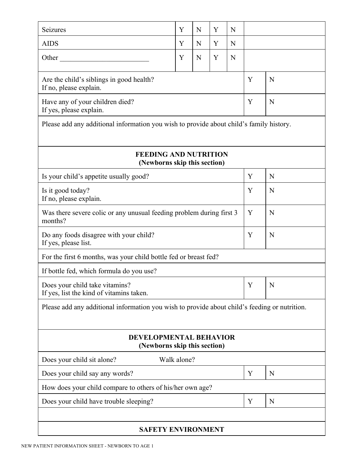| Seizures                                                                                      | Y           | N | Y | N |   |   |
|-----------------------------------------------------------------------------------------------|-------------|---|---|---|---|---|
| <b>AIDS</b>                                                                                   | Y           | N | Y | N |   |   |
| Other                                                                                         | Y           | N | Y | N |   |   |
| Are the child's siblings in good health?<br>If no, please explain.                            |             |   |   |   |   | N |
| Have any of your children died?<br>If yes, please explain.                                    |             |   |   |   | Y | N |
| Please add any additional information you wish to provide about child's family history.       |             |   |   |   |   |   |
| <b>FEEDING AND NUTRITION</b><br>(Newborns skip this section)                                  |             |   |   |   |   |   |
| Is your child's appetite usually good?                                                        |             |   |   |   | Y | N |
| Is it good today?<br>If no, please explain.                                                   |             |   |   |   | Y | N |
| Was there severe colic or any unusual feeding problem during first 3<br>months?               |             |   |   |   | Y | N |
| Do any foods disagree with your child?<br>If yes, please list.                                |             |   |   |   | Y | N |
| For the first 6 months, was your child bottle fed or breast fed?                              |             |   |   |   |   |   |
| If bottle fed, which formula do you use?                                                      |             |   |   |   |   |   |
| Does your child take vitamins?<br>If yes, list the kind of vitamins taken.                    |             |   |   |   | Y | N |
| Please add any additional information you wish to provide about child's feeding or nutrition. |             |   |   |   |   |   |
| <b>DEVELOPMENTAL BEHAVIOR</b><br>(Newborns skip this section)                                 |             |   |   |   |   |   |
| Does your child sit alone?                                                                    | Walk alone? |   |   |   |   |   |
| Does your child say any words?                                                                |             |   |   |   | Y | N |
| How does your child compare to others of his/her own age?                                     |             |   |   |   |   |   |
| Does your child have trouble sleeping?                                                        |             |   |   |   | Y | N |
| <b>SAFETY ENVIRONMENT</b>                                                                     |             |   |   |   |   |   |